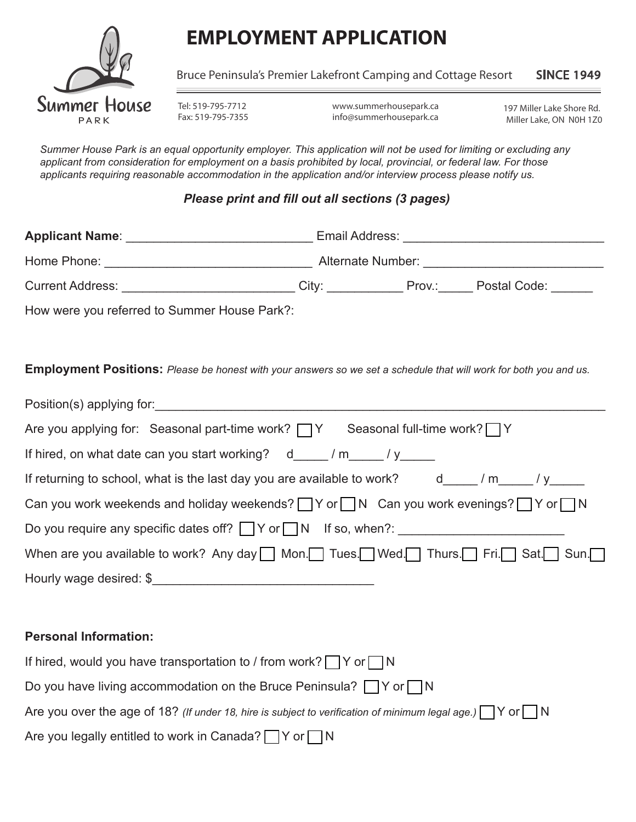

# **EMPLOYMENT APPLICATION**

Bruce Peninsula's Premier Lakefront Camping and Cottage Resort SINCE 1949

Tel: 519-795-7712 Fax: 519-795-7355

www.summerhousepark.ca info@summerhousepark.ca

197 Miller Lake Shore Rd. Miller Lake, ON N0H 1Z0

*Summer House Park is an equal opportunity employer. This application will not be used for limiting or excluding any applicant from consideration for employment on a basis prohibited by local, provincial, or federal law. For those applicants requiring reasonable accommodation in the application and/or interview process please notify us.*

#### *Please print and fill out all sections (3 pages)*

| How were you referred to Summer House Park?:                                                                             |  |  |  |
|--------------------------------------------------------------------------------------------------------------------------|--|--|--|
| <b>Employment Positions:</b> Please be honest with your answers so we set a schedule that will work for both you and us. |  |  |  |
|                                                                                                                          |  |  |  |
| Are you applying for: Seasonal part-time work? $\Box Y$ Seasonal full-time work? $\Box Y$                                |  |  |  |
| If hired, on what date can you start working? d_____/ m_____/ y_____                                                     |  |  |  |
| If returning to school, what is the last day you are available to work? d____/m____/y____                                |  |  |  |
| Can you work weekends and holiday weekends? $\Box Y$ or $\Box N$ Can you work evenings? $\Box Y$ or $\Box N$             |  |  |  |
|                                                                                                                          |  |  |  |
| When are you available to work? Any day Mon. Tues. Wed. Thurs. Fri. Sat. Sun.                                            |  |  |  |
|                                                                                                                          |  |  |  |
|                                                                                                                          |  |  |  |
| <b>Personal Information:</b>                                                                                             |  |  |  |
| If hired, would you have transportation to / from work? $\Box Y$ or $\Box N$                                             |  |  |  |
| Do you have living accommodation on the Bruce Peninsula? $\Box$ Y or $\Box$ N                                            |  |  |  |
| Are you over the age of 18? (If under 18, hire is subject to verification of minimum legal age.) $\Box$ Y or $\Box$ N    |  |  |  |

Are you legally entitled to work in Canada?  $\Box$  Y or  $\Box$  N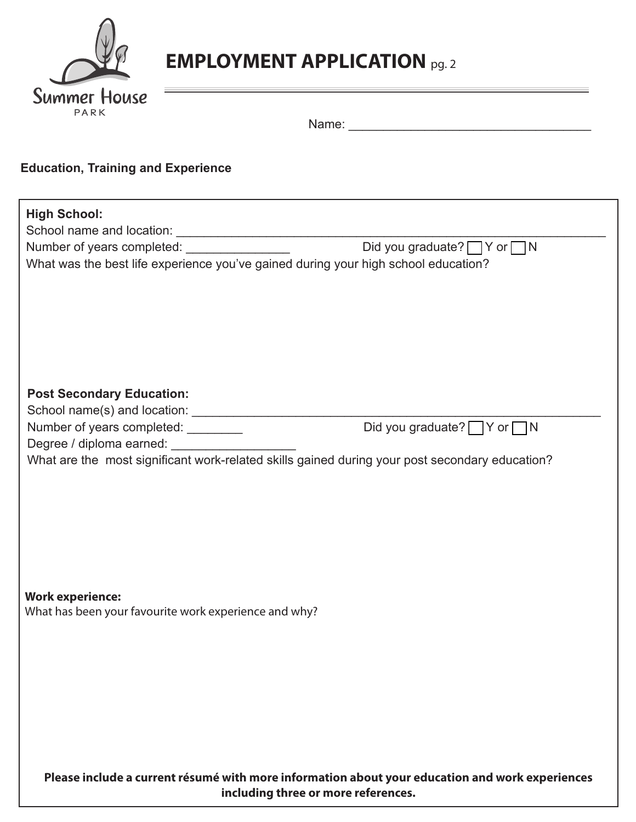

# **EMPLOYMENT APPLICATION** pg. 2

| Name: |  |
|-------|--|
|       |  |

## **Education, Training and Experience**

| <b>High School:</b>                                                                             |                                        |  |  |  |
|-------------------------------------------------------------------------------------------------|----------------------------------------|--|--|--|
|                                                                                                 |                                        |  |  |  |
| Number of years completed: __________________                                                   | Did you graduate? $\Box Y$ or $\Box N$ |  |  |  |
| What was the best life experience you've gained during your high school education?              |                                        |  |  |  |
|                                                                                                 |                                        |  |  |  |
|                                                                                                 |                                        |  |  |  |
|                                                                                                 |                                        |  |  |  |
|                                                                                                 |                                        |  |  |  |
|                                                                                                 |                                        |  |  |  |
|                                                                                                 |                                        |  |  |  |
|                                                                                                 |                                        |  |  |  |
| <b>Post Secondary Education:</b>                                                                |                                        |  |  |  |
|                                                                                                 |                                        |  |  |  |
|                                                                                                 | Did you graduate? $\Box Y$ or $\Box N$ |  |  |  |
| Degree / diploma earned: ______________________                                                 |                                        |  |  |  |
| What are the most significant work-related skills gained during your post secondary education?  |                                        |  |  |  |
|                                                                                                 |                                        |  |  |  |
|                                                                                                 |                                        |  |  |  |
|                                                                                                 |                                        |  |  |  |
|                                                                                                 |                                        |  |  |  |
|                                                                                                 |                                        |  |  |  |
|                                                                                                 |                                        |  |  |  |
|                                                                                                 |                                        |  |  |  |
|                                                                                                 |                                        |  |  |  |
| <b>Work experience:</b>                                                                         |                                        |  |  |  |
| What has been your favourite work experience and why?                                           |                                        |  |  |  |
|                                                                                                 |                                        |  |  |  |
|                                                                                                 |                                        |  |  |  |
|                                                                                                 |                                        |  |  |  |
|                                                                                                 |                                        |  |  |  |
|                                                                                                 |                                        |  |  |  |
|                                                                                                 |                                        |  |  |  |
|                                                                                                 |                                        |  |  |  |
|                                                                                                 |                                        |  |  |  |
|                                                                                                 |                                        |  |  |  |
| Please include a current résumé with more information about your education and work experiences |                                        |  |  |  |
| including three or more references.                                                             |                                        |  |  |  |